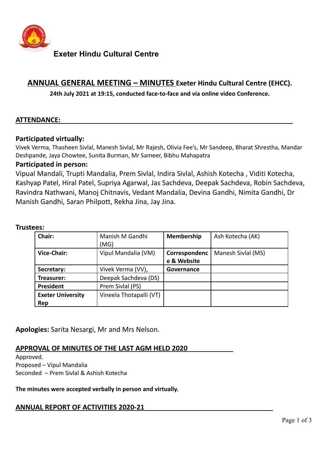

**Exeter Hindu Cultural Centre**

# **ANNUAL GENERAL MEETING – MINUTES Exeter Hindu Cultural Centre (EHCC).**

**24th July 2021 at 19:15, conducted face-to-face and via online video Conference.**

## **ATTENDANCE:**

#### **Participated virtually:**

Vivek Verma, Thasheen Sivlal, Manesh Sivlal, Mr Rajesh, Olivia Fee's, Mr Sandeep, Bharat Shrestha, Mandar Deshpande, Jaya Chowtee, Sunita Burman, Mr Sameer, Bibhu Mahapatra

### **Participated in person:**

Vipual Mandali, Trupti Mandalia, Prem Sivlal, Indira Sivlal, Ashish Kotecha , Viditi Kotecha, Kashyap Patel, Hiral Patel, Supriya Agarwal, Jas Sachdeva, Deepak Sachdeva, Robin Sachdeva, Ravindra Nathwani, Manoj Chitnavis, Vedant Mandalia, Devina Gandhi, Nimita Gandhi, Dr Manish Gandhi, Saran Philpott, Rekha Jina, Jay Jina.

#### **Trustees:**

| Chair:                   | Manish M Gandhi         | <b>Membership</b> | Ash Kotecha (AK)   |
|--------------------------|-------------------------|-------------------|--------------------|
|                          | (MG)                    |                   |                    |
| Vice-Chair:              | Vipul Mandalia (VM)     | Correspondenc     | Manesh Sivlal (MS) |
|                          |                         | e & Website       |                    |
| Secretary:               | Vivek Verma (VV),       | Governance        |                    |
| Treasurer:               | Deepak Sachdeva (DS)    |                   |                    |
| President                | Prem Sivlal (PS)        |                   |                    |
| <b>Exeter University</b> | Vineela Thotapalli (VT) |                   |                    |
| Rep                      |                         |                   |                    |

**Apologies:** Sarita Nesargi, Mr and Mrs Nelson.

## **APPROVAL OF MINUTES OF THE LAST AGM HELD 2020**

Approved. Proposed – Vipul Mandalia Seconded – Prem Sivlal & Ashish Kotecha

**The minutes were accepted verbally in person and virtually.**

## **ANNUAL REPORT OF ACTIVITIES 2020-21**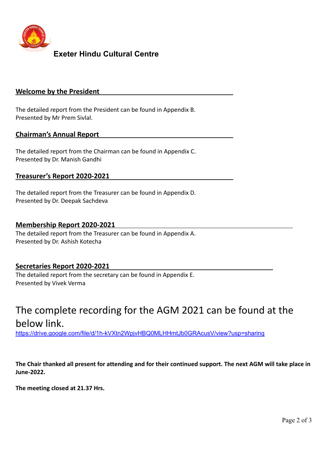

# **Exeter Hindu Cultural Centre**

#### **Welcome by the President**

The detailed report from the President can be found in Appendix B. Presented by Mr Prem Sivlal.

#### **Chairman's Annual Report**

The detailed report from the Chairman can be found in Appendix C. Presented by Dr. Manish Gandhi

#### **Treasurer's Report 2020-2021**

The detailed report from the Treasurer can be found in Appendix D. Presented by Dr. Deepak Sachdeva

#### **Membership Report 2020-2021**

The detailed report from the Treasurer can be found in Appendix A. Presented by Dr. Ashish Kotecha

#### **Secretaries Report 2020-2021**

The detailed report from the secretary can be found in Appendix E. Presented by Vivek Verma

# The complete recording for the AGM 2021 can be found at the below link.

<https://drive.google.com/file/d/1h-kVXtn2WpjvHBQ0MLHHmtJb0GRAcusV/view?usp=sharing>

**The Chair thanked all present for attending and for their continued support. The next AGM will take place in June-2022.**

**The meeting closed at 21.37 Hrs.**